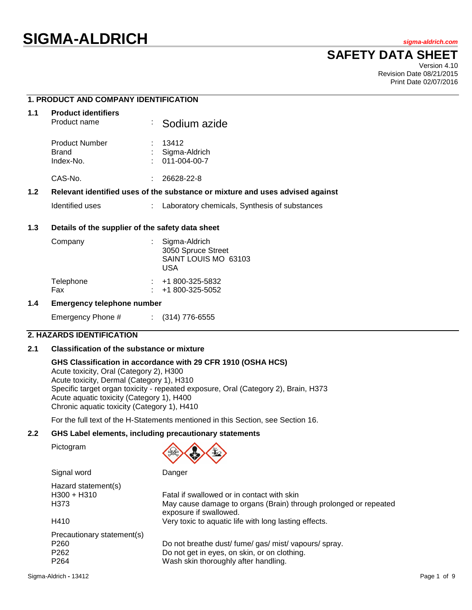# **SIGMA-ALDRICH** *sigma-aldrich.com*

## **SAFETY DATA SHEET**

Version 4.10 Revision Date 08/21/2015 Print Date 02/07/2016

### **1. PRODUCT AND COMPANY IDENTIFICATION**

| 1.1 | <b>Product identifiers</b><br>Product name         | : Sodium azide                         |  |
|-----|----------------------------------------------------|----------------------------------------|--|
|     | <b>Product Number</b><br><b>Brand</b><br>Index-No. | 13412<br>Sigma-Aldrich<br>011-004-00-7 |  |
|     | CAS-No.                                            | 26628-22-8                             |  |

#### **1.2 Relevant identified uses of the substance or mixture and uses advised against**

Identified uses : Laboratory chemicals, Synthesis of substances

#### **1.3 Details of the supplier of the safety data sheet**

| Company          | Sigma-Aldrich<br>3050 Spruce Street<br>SAINT LOUIS MO 63103<br>USA |
|------------------|--------------------------------------------------------------------|
| Telephone<br>Fax | $\div$ +1 800-325-5832<br>$: 41800 - 325 - 5052$                   |

#### **1.4 Emergency telephone number**

Emergency Phone # : (314) 776-6555

#### **2. HAZARDS IDENTIFICATION**

#### **2.1 Classification of the substance or mixture**

Signal word Danger

#### **GHS Classification in accordance with 29 CFR 1910 (OSHA HCS)**

Acute toxicity, Oral (Category 2), H300 Acute toxicity, Dermal (Category 1), H310 Specific target organ toxicity - repeated exposure, Oral (Category 2), Brain, H373 Acute aquatic toxicity (Category 1), H400 Chronic aquatic toxicity (Category 1), H410

For the full text of the H-Statements mentioned in this Section, see Section 16.

#### **2.2 GHS Label elements, including precautionary statements**

Pictogram



| Hazard statement(s)<br>$H300 + H310$<br>H373                                           | Fatal if swallowed or in contact with skin<br>May cause damage to organs (Brain) through prolonged or repeated<br>exposure if swallowed.      |
|----------------------------------------------------------------------------------------|-----------------------------------------------------------------------------------------------------------------------------------------------|
| H410                                                                                   | Very toxic to aquatic life with long lasting effects.                                                                                         |
| Precautionary statement(s)<br>P <sub>260</sub><br>P <sub>262</sub><br>P <sub>264</sub> | Do not breathe dust/ fume/ gas/ mist/ vapours/ spray.<br>Do not get in eyes, on skin, or on clothing.<br>Wash skin thoroughly after handling. |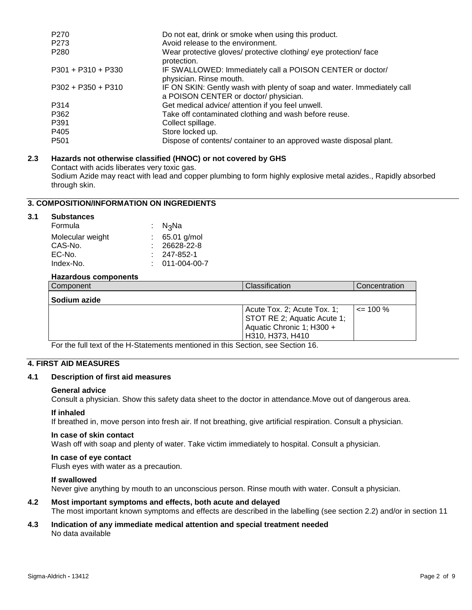| P <sub>270</sub><br>P <sub>273</sub> | Do not eat, drink or smoke when using this product.<br>Avoid release to the environment.                         |
|--------------------------------------|------------------------------------------------------------------------------------------------------------------|
| P <sub>280</sub>                     | Wear protective gloves/ protective clothing/ eye protection/ face<br>protection.                                 |
| $P301 + P310 + P330$                 | IF SWALLOWED: Immediately call a POISON CENTER or doctor/<br>physician. Rinse mouth.                             |
| $P302 + P350 + P310$                 | IF ON SKIN: Gently wash with plenty of soap and water. Immediately call<br>a POISON CENTER or doctor/ physician. |
| P314                                 | Get medical advice/ attention if you feel unwell.                                                                |
| P362                                 | Take off contaminated clothing and wash before reuse.                                                            |
| P391                                 | Collect spillage.                                                                                                |
| P405                                 | Store locked up.                                                                                                 |
| P <sub>501</sub>                     | Dispose of contents/ container to an approved waste disposal plant.                                              |

#### **2.3 Hazards not otherwise classified (HNOC) or not covered by GHS**

Contact with acids liberates very toxic gas. Sodium Azide may react with lead and copper plumbing to form highly explosive metal azides., Rapidly absorbed through skin.

#### **3. COMPOSITION/INFORMATION ON INGREDIENTS**

#### **3.1 Substances**

| Formula          | : N <sub>3</sub> Na |
|------------------|---------------------|
| Molecular weight | $65.01$ g/mol       |
| CAS-No.          | $: 26628 - 22 - 8$  |
| EC-No.           | 247-852-1           |
| Index-No.        | 011-004-00-7        |
|                  |                     |

#### **Hazardous components**

| Component    | Classification                                                                                                     | Concentration |
|--------------|--------------------------------------------------------------------------------------------------------------------|---------------|
| Sodium azide |                                                                                                                    |               |
|              | Acute Tox. 2; Acute Tox. 1;<br><b>STOT RE 2; Aquatic Acute 1:</b><br>Aquatic Chronic 1; H300 +<br>H310, H373, H410 | $\leq$ 100 %  |

For the full text of the H-Statements mentioned in this Section, see Section 16.

#### **4. FIRST AID MEASURES**

#### **4.1 Description of first aid measures**

#### **General advice**

Consult a physician. Show this safety data sheet to the doctor in attendance.Move out of dangerous area.

#### **If inhaled**

If breathed in, move person into fresh air. If not breathing, give artificial respiration. Consult a physician.

#### **In case of skin contact**

Wash off with soap and plenty of water. Take victim immediately to hospital. Consult a physician.

#### **In case of eye contact**

Flush eyes with water as a precaution.

#### **If swallowed**

Never give anything by mouth to an unconscious person. Rinse mouth with water. Consult a physician.

#### **4.2 Most important symptoms and effects, both acute and delayed** The most important known symptoms and effects are described in the labelling (see section 2.2) and/or in section 11

#### **4.3 Indication of any immediate medical attention and special treatment needed** No data available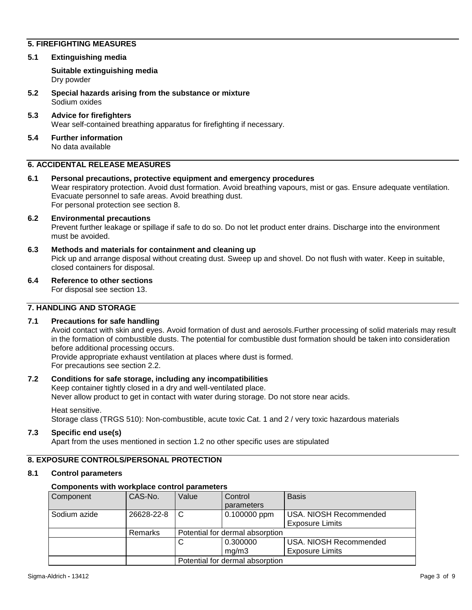#### **5. FIREFIGHTING MEASURES**

**5.1 Extinguishing media**

**Suitable extinguishing media** Dry powder

- **5.2 Special hazards arising from the substance or mixture** Sodium oxides
- **5.3 Advice for firefighters** Wear self-contained breathing apparatus for firefighting if necessary.
- **5.4 Further information** No data available

#### **6. ACCIDENTAL RELEASE MEASURES**

**6.1 Personal precautions, protective equipment and emergency procedures** Wear respiratory protection. Avoid dust formation. Avoid breathing vapours, mist or gas. Ensure adequate ventilation. Evacuate personnel to safe areas. Avoid breathing dust. For personal protection see section 8.

#### **6.2 Environmental precautions**

Prevent further leakage or spillage if safe to do so. Do not let product enter drains. Discharge into the environment must be avoided.

**6.3 Methods and materials for containment and cleaning up**

Pick up and arrange disposal without creating dust. Sweep up and shovel. Do not flush with water. Keep in suitable, closed containers for disposal.

**6.4 Reference to other sections**

For disposal see section 13.

#### **7. HANDLING AND STORAGE**

#### **7.1 Precautions for safe handling**

Avoid contact with skin and eyes. Avoid formation of dust and aerosols.Further processing of solid materials may result in the formation of combustible dusts. The potential for combustible dust formation should be taken into consideration before additional processing occurs.

Provide appropriate exhaust ventilation at places where dust is formed. For precautions see section 2.2.

#### **7.2 Conditions for safe storage, including any incompatibilities**

Keep container tightly closed in a dry and well-ventilated place.

Never allow product to get in contact with water during storage. Do not store near acids.

Heat sensitive.

Storage class (TRGS 510): Non-combustible, acute toxic Cat. 1 and 2 / very toxic hazardous materials

#### **7.3 Specific end use(s)**

Apart from the uses mentioned in section 1.2 no other specific uses are stipulated

#### **8. EXPOSURE CONTROLS/PERSONAL PROTECTION**

#### **8.1 Control parameters**

#### **Components with workplace control parameters**

| Component    | CAS-No.    | Value                           | Control<br>parameters | <b>Basis</b>                                     |
|--------------|------------|---------------------------------|-----------------------|--------------------------------------------------|
| Sodium azide | 26628-22-8 | C                               | 0.100000 ppm          | USA. NIOSH Recommended<br><b>Exposure Limits</b> |
|              | Remarks    | Potential for dermal absorption |                       |                                                  |
|              |            |                                 | 0.300000<br>ma/m3     | USA. NIOSH Recommended<br><b>Exposure Limits</b> |
|              |            | Potential for dermal absorption |                       |                                                  |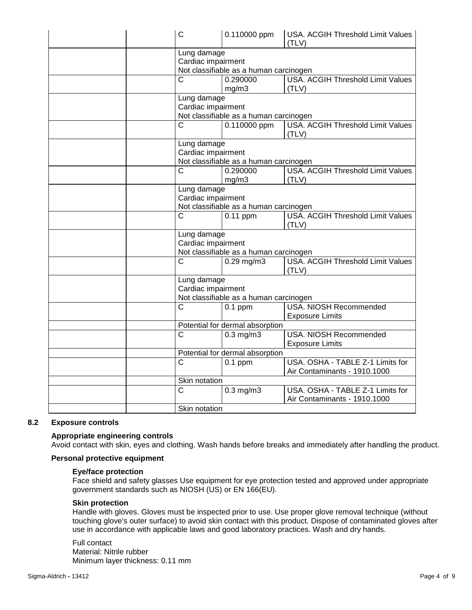| $\mathsf{C}$                                                                             | 0.110000 ppm                                                           | USA. ACGIH Threshold Limit Values<br>(TLV)                       |  |
|------------------------------------------------------------------------------------------|------------------------------------------------------------------------|------------------------------------------------------------------|--|
| Lung damage<br>Cardiac impairment<br>Not classifiable as a human carcinogen              |                                                                        |                                                                  |  |
| $\overline{C}$<br>0.290000<br><b>USA. ACGIH Threshold Limit Values</b><br>mg/m3<br>(TLV) |                                                                        |                                                                  |  |
| Lung damage<br>Cardiac impairment<br>Not classifiable as a human carcinogen              |                                                                        |                                                                  |  |
| $\overline{\text{c}}$                                                                    | 0.110000 ppm                                                           | <b>USA. ACGIH Threshold Limit Values</b><br>(TLV)                |  |
| Lung damage<br>Cardiac impairment<br>Not classifiable as a human carcinogen              |                                                                        |                                                                  |  |
| $\overline{C}$                                                                           | 0.290000<br><b>USA. ACGIH Threshold Limit Values</b><br>mg/m3<br>(TLV) |                                                                  |  |
| Lung damage<br>Cardiac impairment<br>Not classifiable as a human carcinogen              |                                                                        |                                                                  |  |
| $\mathsf{C}$                                                                             | $0.11$ ppm                                                             | <b>USA. ACGIH Threshold Limit Values</b><br>(TLV)                |  |
| Lung damage<br>Cardiac impairment<br>Not classifiable as a human carcinogen              |                                                                        |                                                                  |  |
| $\overline{C}$                                                                           | $0.29$ mg/m3                                                           | <b>USA. ACGIH Threshold Limit Values</b><br>(TLV)                |  |
| Lung damage<br>Cardiac impairment                                                        | Not classifiable as a human carcinogen                                 |                                                                  |  |
| $\overline{C}$                                                                           | $0.1$ ppm                                                              | USA. NIOSH Recommended<br><b>Exposure Limits</b>                 |  |
|                                                                                          | Potential for dermal absorption                                        |                                                                  |  |
| $\mathsf{C}$                                                                             | $0.3$ mg/m $3$                                                         | USA. NIOSH Recommended<br><b>Exposure Limits</b>                 |  |
|                                                                                          | Potential for dermal absorption                                        |                                                                  |  |
| $\mathsf{C}$                                                                             | $0.1$ ppm                                                              | USA. OSHA - TABLE Z-1 Limits for<br>Air Contaminants - 1910.1000 |  |
| Skin notation                                                                            |                                                                        |                                                                  |  |
| $\overline{\text{c}}$                                                                    | $0.3$ mg/m $3$                                                         | USA. OSHA - TABLE Z-1 Limits for<br>Air Contaminants - 1910.1000 |  |
| Skin notation                                                                            |                                                                        |                                                                  |  |

#### **8.2 Exposure controls**

#### **Appropriate engineering controls**

Avoid contact with skin, eyes and clothing. Wash hands before breaks and immediately after handling the product.

#### **Personal protective equipment**

#### **Eye/face protection**

Face shield and safety glasses Use equipment for eye protection tested and approved under appropriate government standards such as NIOSH (US) or EN 166(EU).

#### **Skin protection**

Handle with gloves. Gloves must be inspected prior to use. Use proper glove removal technique (without touching glove's outer surface) to avoid skin contact with this product. Dispose of contaminated gloves after use in accordance with applicable laws and good laboratory practices. Wash and dry hands.

#### Full contact Material: Nitrile rubber Minimum layer thickness: 0.11 mm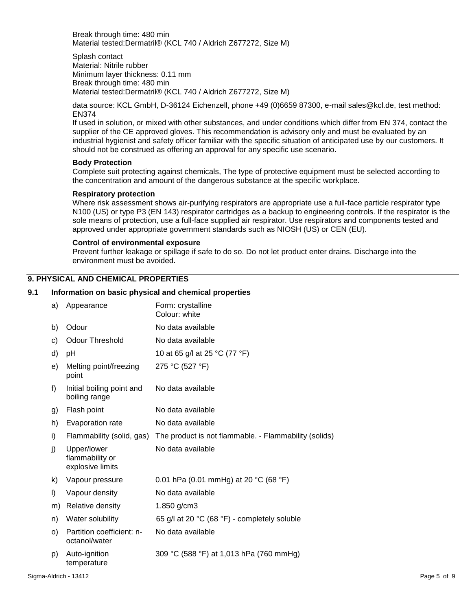Break through time: 480 min Material tested:Dermatril® (KCL 740 / Aldrich Z677272, Size M)

Splash contact Material: Nitrile rubber Minimum layer thickness: 0.11 mm Break through time: 480 min Material tested:Dermatril® (KCL 740 / Aldrich Z677272, Size M)

data source: KCL GmbH, D-36124 Eichenzell, phone +49 (0)6659 87300, e-mail sales@kcl.de, test method: EN374

If used in solution, or mixed with other substances, and under conditions which differ from EN 374, contact the supplier of the CE approved gloves. This recommendation is advisory only and must be evaluated by an industrial hygienist and safety officer familiar with the specific situation of anticipated use by our customers. It should not be construed as offering an approval for any specific use scenario.

#### **Body Protection**

Complete suit protecting against chemicals, The type of protective equipment must be selected according to the concentration and amount of the dangerous substance at the specific workplace.

#### **Respiratory protection**

Where risk assessment shows air-purifying respirators are appropriate use a full-face particle respirator type N100 (US) or type P3 (EN 143) respirator cartridges as a backup to engineering controls. If the respirator is the sole means of protection, use a full-face supplied air respirator. Use respirators and components tested and approved under appropriate government standards such as NIOSH (US) or CEN (EU).

#### **Control of environmental exposure**

Prevent further leakage or spillage if safe to do so. Do not let product enter drains. Discharge into the environment must be avoided.

#### **9. PHYSICAL AND CHEMICAL PROPERTIES**

#### **9.1 Information on basic physical and chemical properties**

| a) | Appearance                                         | Form: crystalline<br>Colour: white                    |
|----|----------------------------------------------------|-------------------------------------------------------|
| b) | Odour                                              | No data available                                     |
| C) | <b>Odour Threshold</b>                             | No data available                                     |
| d) | рH                                                 | 10 at 65 g/l at 25 °C (77 °F)                         |
| e) | Melting point/freezing<br>point                    | 275 °C (527 °F)                                       |
| f) | Initial boiling point and<br>boiling range         | No data available                                     |
| g) | Flash point                                        | No data available                                     |
| h) | Evaporation rate                                   | No data available                                     |
| i) | Flammability (solid, gas)                          | The product is not flammable. - Flammability (solids) |
| j) | Upper/lower<br>flammability or<br>explosive limits | No data available                                     |
| k) | Vapour pressure                                    | 0.01 hPa (0.01 mmHg) at 20 °C (68 °F)                 |
| I) | Vapour density                                     | No data available                                     |
| m) | Relative density                                   | 1.850 g/cm3                                           |
| n) | Water solubility                                   | 65 g/l at 20 °C (68 °F) - completely soluble          |
| O) | Partition coefficient: n-<br>octanol/water         | No data available                                     |
| p) | Auto-ignition<br>temperature                       | 309 °C (588 °F) at 1,013 hPa (760 mmHg)               |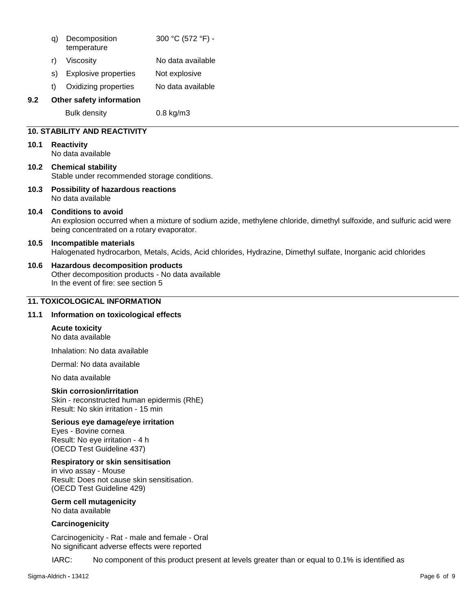| q) Decomposition | 300 °C (572 °F) - |
|------------------|-------------------|
| temperature      |                   |

- r) Viscosity No data available
- s) Explosive properties Not explosive
- t) Oxidizing properties No data available

#### **9.2 Other safety information**

Bulk density 0.8 kg/m3

#### **10. STABILITY AND REACTIVITY**

#### **10.1 Reactivity**

No data available

- **10.2 Chemical stability** Stable under recommended storage conditions.
- **10.3 Possibility of hazardous reactions** No data available

#### **10.4 Conditions to avoid**

An explosion occurred when a mixture of sodium azide, methylene chloride, dimethyl sulfoxide, and sulfuric acid were being concentrated on a rotary evaporator.

#### **10.5 Incompatible materials**

Halogenated hydrocarbon, Metals, Acids, Acid chlorides, Hydrazine, Dimethyl sulfate, Inorganic acid chlorides

#### **10.6 Hazardous decomposition products**

Other decomposition products - No data available In the event of fire: see section 5

#### **11. TOXICOLOGICAL INFORMATION**

#### **11.1 Information on toxicological effects**

#### **Acute toxicity**

No data available

Inhalation: No data available

Dermal: No data available

No data available

#### **Skin corrosion/irritation**

Skin - reconstructed human epidermis (RhE) Result: No skin irritation - 15 min

#### **Serious eye damage/eye irritation**

Eyes - Bovine cornea Result: No eye irritation - 4 h (OECD Test Guideline 437)

#### **Respiratory or skin sensitisation**

in vivo assay - Mouse Result: Does not cause skin sensitisation. (OECD Test Guideline 429)

**Germ cell mutagenicity** No data available

#### **Carcinogenicity**

Carcinogenicity - Rat - male and female - Oral No significant adverse effects were reported

IARC: No component of this product present at levels greater than or equal to 0.1% is identified as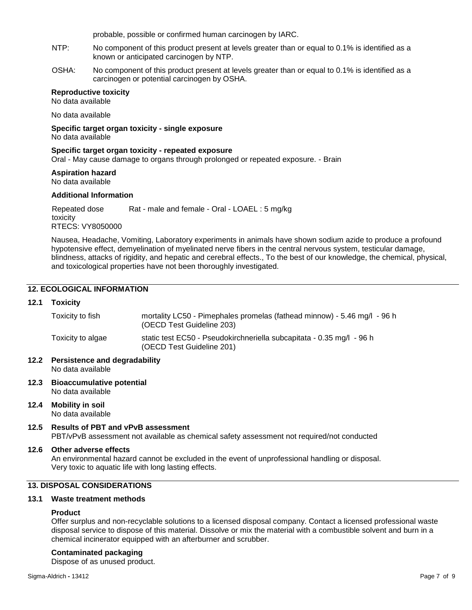probable, possible or confirmed human carcinogen by IARC.

- NTP: No component of this product present at levels greater than or equal to 0.1% is identified as a known or anticipated carcinogen by NTP.
- OSHA: No component of this product present at levels greater than or equal to 0.1% is identified as a carcinogen or potential carcinogen by OSHA.

#### **Reproductive toxicity**

No data available

No data available

**Specific target organ toxicity - single exposure** No data available

#### **Specific target organ toxicity - repeated exposure**

Oral - May cause damage to organs through prolonged or repeated exposure. - Brain

### **Aspiration hazard**

No data available

#### **Additional Information**

Repeated dose toxicity Rat - male and female - Oral - LOAEL : 5 mg/kg RTECS: VY8050000

Nausea, Headache, Vomiting, Laboratory experiments in animals have shown sodium azide to produce a profound hypotensive effect, demyelination of myelinated nerve fibers in the central nervous system, testicular damage, blindness, attacks of rigidity, and hepatic and cerebral effects., To the best of our knowledge, the chemical, physical, and toxicological properties have not been thoroughly investigated.

#### **12. ECOLOGICAL INFORMATION**

#### **12.1 Toxicity**

| Toxicity to fish  | mortality LC50 - Pimephales promelas (fathead minnow) - 5.46 mg/l - 96 h<br>(OECD Test Guideline 203) |
|-------------------|-------------------------------------------------------------------------------------------------------|
| Toxicity to algae | static test EC50 - Pseudokirchneriella subcapitata - 0.35 mg/l - 96 h<br>(OECD Test Guideline 201)    |

- **12.2 Persistence and degradability** No data available
- **12.3 Bioaccumulative potential** No data available
- **12.4 Mobility in soil** No data available
- **12.5 Results of PBT and vPvB assessment**
	- PBT/vPvB assessment not available as chemical safety assessment not required/not conducted

#### **12.6 Other adverse effects**

An environmental hazard cannot be excluded in the event of unprofessional handling or disposal. Very toxic to aquatic life with long lasting effects.

#### **13. DISPOSAL CONSIDERATIONS**

#### **13.1 Waste treatment methods**

#### **Product**

Offer surplus and non-recyclable solutions to a licensed disposal company. Contact a licensed professional waste disposal service to dispose of this material. Dissolve or mix the material with a combustible solvent and burn in a chemical incinerator equipped with an afterburner and scrubber.

#### **Contaminated packaging**

Dispose of as unused product.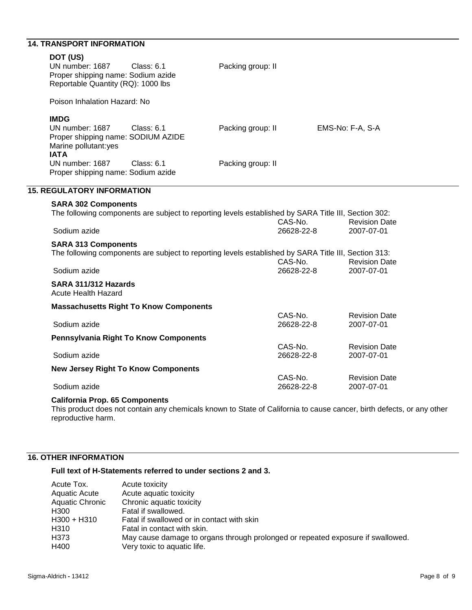### **14. TRANSPORT INFORMATION**

| DOT (US)<br>UN number: 1687<br>Proper shipping name: Sodium azide<br>Reportable Quantity (RQ): 1000 lbs                                                        | <b>Class: 6.1</b>                                                                                                                                                                                            | Packing group: II |                                                |                                                                          |
|----------------------------------------------------------------------------------------------------------------------------------------------------------------|--------------------------------------------------------------------------------------------------------------------------------------------------------------------------------------------------------------|-------------------|------------------------------------------------|--------------------------------------------------------------------------|
| Poison Inhalation Hazard: No                                                                                                                                   |                                                                                                                                                                                                              |                   |                                                |                                                                          |
| <b>IMDG</b><br>UN number: 1687<br>Proper shipping name: SODIUM AZIDE<br>Marine pollutant:yes<br><b>IATA</b>                                                    | <b>Class: 6.1</b>                                                                                                                                                                                            | Packing group: II |                                                | EMS-No: F-A, S-A                                                         |
| UN number: 1687<br>Proper shipping name: Sodium azide                                                                                                          | <b>Class: 6.1</b>                                                                                                                                                                                            | Packing group: II |                                                |                                                                          |
| <b>15. REGULATORY INFORMATION</b>                                                                                                                              |                                                                                                                                                                                                              |                   |                                                |                                                                          |
| <b>SARA 302 Components</b><br>Sodium azide<br><b>SARA 313 Components</b><br>Sodium azide<br>SARA 311/312 Hazards<br><b>Acute Health Hazard</b>                 | The following components are subject to reporting levels established by SARA Title III, Section 302:<br>The following components are subject to reporting levels established by SARA Title III, Section 313: |                   | CAS-No.<br>26628-22-8<br>CAS-No.<br>26628-22-8 | <b>Revision Date</b><br>2007-07-01<br><b>Revision Date</b><br>2007-07-01 |
|                                                                                                                                                                | <b>Massachusetts Right To Know Components</b>                                                                                                                                                                |                   |                                                |                                                                          |
| Sodium azide                                                                                                                                                   |                                                                                                                                                                                                              |                   | CAS-No.<br>26628-22-8                          | <b>Revision Date</b><br>2007-07-01                                       |
| <b>Pennsylvania Right To Know Components</b>                                                                                                                   |                                                                                                                                                                                                              |                   |                                                |                                                                          |
| Sodium azide                                                                                                                                                   |                                                                                                                                                                                                              |                   | CAS-No.<br>26628-22-8                          | <b>Revision Date</b><br>2007-07-01                                       |
| <b>New Jersey Right To Know Components</b>                                                                                                                     |                                                                                                                                                                                                              |                   |                                                |                                                                          |
| Sodium azide                                                                                                                                                   |                                                                                                                                                                                                              |                   | CAS-No.<br>26628-22-8                          | <b>Revision Date</b><br>2007-07-01                                       |
| <b>California Prop. 65 Components</b><br>This product does not contain any chemicals known to State of California to cause cancer, birth defects, or any other |                                                                                                                                                                                                              |                   |                                                |                                                                          |

reproductive harm.

### **16. OTHER INFORMATION**

#### **Full text of H-Statements referred to under sections 2 and 3.**

| Acute Tox.           | Acute toxicity                                                                  |
|----------------------|---------------------------------------------------------------------------------|
| <b>Aquatic Acute</b> | Acute aquatic toxicity                                                          |
| Aquatic Chronic      | Chronic aquatic toxicity                                                        |
| H300                 | Fatal if swallowed.                                                             |
| H300 + H310          | Fatal if swallowed or in contact with skin                                      |
| H310                 | Fatal in contact with skin.                                                     |
| H373                 | May cause damage to organs through prolonged or repeated exposure if swallowed. |
| H400                 | Very toxic to aquatic life.                                                     |